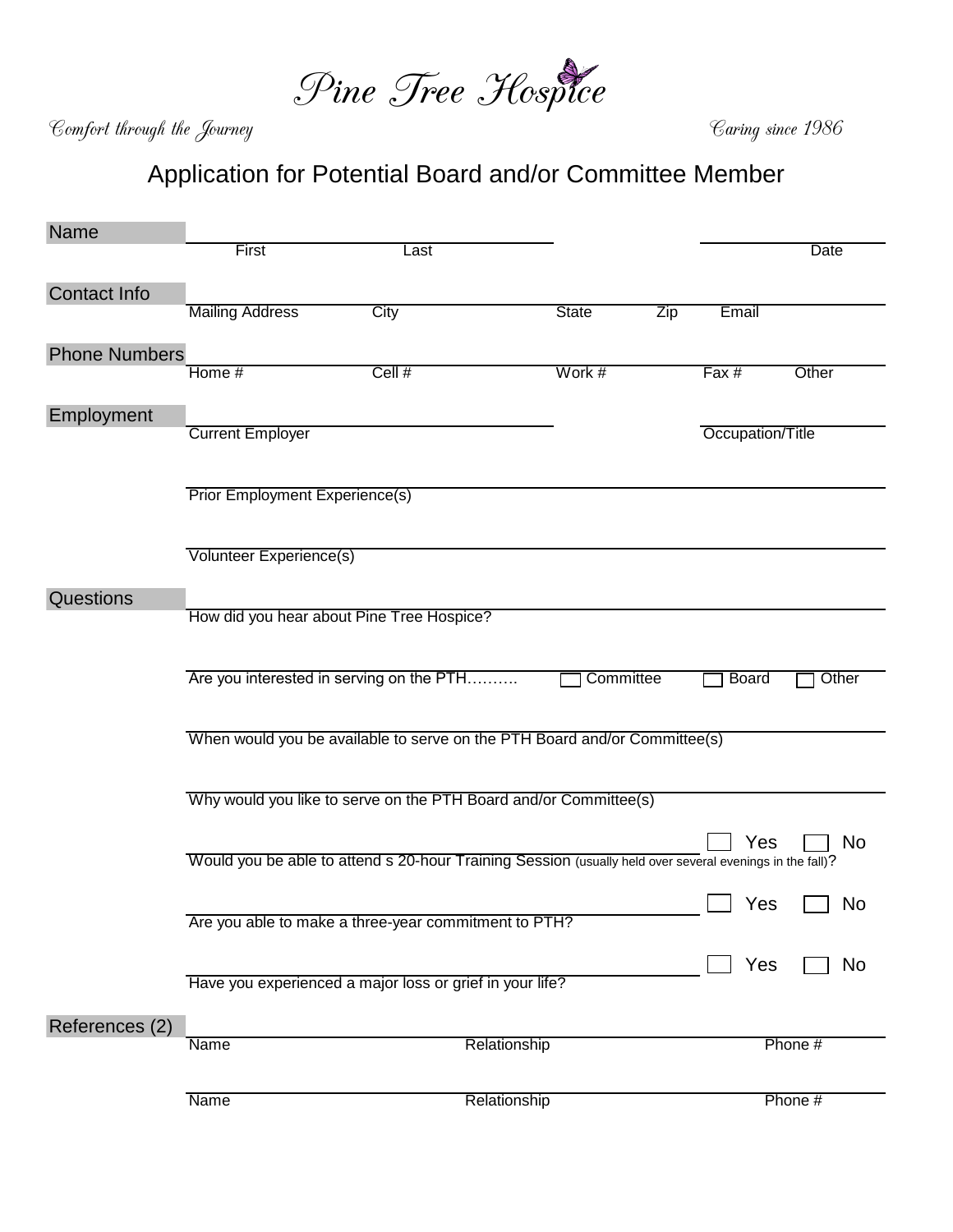

Comfort through the Journey Caring since 1986

## Application for Potential Board and/or Committee Member

| Name                 |                                                                                                                       |                                                          |              |           |              |         |  |  |  |
|----------------------|-----------------------------------------------------------------------------------------------------------------------|----------------------------------------------------------|--------------|-----------|--------------|---------|--|--|--|
|                      | First                                                                                                                 | Last                                                     |              |           |              | Date    |  |  |  |
|                      |                                                                                                                       |                                                          |              |           |              |         |  |  |  |
| Contact Info         | <b>Mailing Address</b>                                                                                                | City                                                     | <b>State</b> | Zip       | Email        |         |  |  |  |
|                      |                                                                                                                       |                                                          |              |           |              |         |  |  |  |
| <b>Phone Numbers</b> |                                                                                                                       |                                                          |              |           |              |         |  |  |  |
|                      | Home #                                                                                                                | Cell #                                                   | Work #       |           | Fax #        | Other   |  |  |  |
|                      |                                                                                                                       |                                                          |              |           |              |         |  |  |  |
| Employment           |                                                                                                                       |                                                          |              |           |              |         |  |  |  |
|                      | <b>Current Employer</b><br>Occupation/Title                                                                           |                                                          |              |           |              |         |  |  |  |
|                      |                                                                                                                       |                                                          |              |           |              |         |  |  |  |
|                      | <b>Prior Employment Experience(s)</b>                                                                                 |                                                          |              |           |              |         |  |  |  |
|                      |                                                                                                                       |                                                          |              |           |              |         |  |  |  |
|                      |                                                                                                                       |                                                          |              |           |              |         |  |  |  |
|                      | Volunteer Experience(s)                                                                                               |                                                          |              |           |              |         |  |  |  |
| Questions            |                                                                                                                       |                                                          |              |           |              |         |  |  |  |
|                      | How did you hear about Pine Tree Hospice?                                                                             |                                                          |              |           |              |         |  |  |  |
|                      |                                                                                                                       |                                                          |              |           |              |         |  |  |  |
|                      |                                                                                                                       |                                                          |              |           |              |         |  |  |  |
|                      |                                                                                                                       | Are you interested in serving on the PTH                 |              | Committee | <b>Board</b> | Other   |  |  |  |
|                      |                                                                                                                       |                                                          |              |           |              |         |  |  |  |
|                      | When would you be available to serve on the PTH Board and/or Committee(s)                                             |                                                          |              |           |              |         |  |  |  |
|                      |                                                                                                                       |                                                          |              |           |              |         |  |  |  |
|                      |                                                                                                                       |                                                          |              |           |              |         |  |  |  |
|                      | Why would you like to serve on the PTH Board and/or Committee(s)                                                      |                                                          |              |           |              |         |  |  |  |
|                      |                                                                                                                       |                                                          |              |           |              |         |  |  |  |
|                      | Yes<br>No<br>Would you be able to attend s 20-hour Training Session (usually held over several evenings in the fall)? |                                                          |              |           |              |         |  |  |  |
|                      |                                                                                                                       |                                                          |              |           |              |         |  |  |  |
|                      |                                                                                                                       |                                                          |              |           | Yes          | No      |  |  |  |
|                      | Are you able to make a three-year commitment to PTH?                                                                  |                                                          |              |           |              |         |  |  |  |
|                      |                                                                                                                       |                                                          |              |           |              |         |  |  |  |
|                      |                                                                                                                       | Have you experienced a major loss or grief in your life? |              |           | Yes          | No      |  |  |  |
|                      |                                                                                                                       |                                                          |              |           |              |         |  |  |  |
| References (2)       |                                                                                                                       |                                                          |              |           |              |         |  |  |  |
|                      | Name                                                                                                                  |                                                          | Relationship |           |              | Phone # |  |  |  |
|                      |                                                                                                                       |                                                          |              |           |              |         |  |  |  |
|                      | Name                                                                                                                  |                                                          | Relationship |           |              | Phone # |  |  |  |
|                      |                                                                                                                       |                                                          |              |           |              |         |  |  |  |